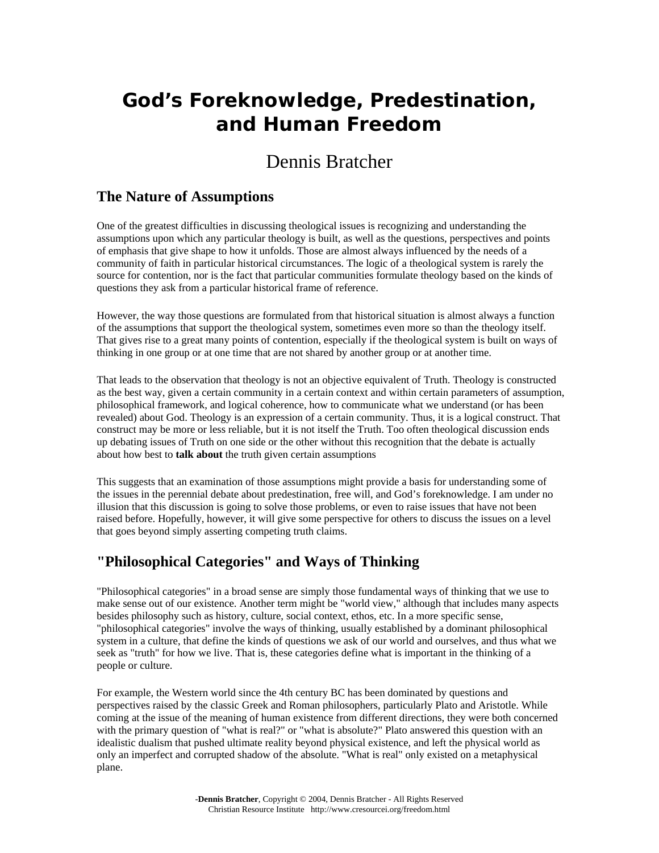# **God's Foreknowledge, Predestination, and Human Freedom**

## Dennis Bratcher

## **The Nature of Assumptions**

One of the greatest difficulties in discussing theological issues is recognizing and understanding the assumptions upon which any particular theology is built, as well as the questions, perspectives and points of emphasis that give shape to how it unfolds. Those are almost always influenced by the needs of a community of faith in particular historical circumstances. The logic of a theological system is rarely the source for contention, nor is the fact that particular communities formulate theology based on the kinds of questions they ask from a particular historical frame of reference.

However, the way those questions are formulated from that historical situation is almost always a function of the assumptions that support the theological system, sometimes even more so than the theology itself. That gives rise to a great many points of contention, especially if the theological system is built on ways of thinking in one group or at one time that are not shared by another group or at another time.

That leads to the observation that theology is not an objective equivalent of Truth. Theology is constructed as the best way, given a certain community in a certain context and within certain parameters of assumption, philosophical framework, and logical coherence, how to communicate what we understand (or has been revealed) about God. Theology is an expression of a certain community. Thus, it is a logical construct. That construct may be more or less reliable, but it is not itself the Truth. Too often theological discussion ends up debating issues of Truth on one side or the other without this recognition that the debate is actually about how best to **talk about** the truth given certain assumptions

This suggests that an examination of those assumptions might provide a basis for understanding some of the issues in the perennial debate about predestination, free will, and God's foreknowledge. I am under no illusion that this discussion is going to solve those problems, or even to raise issues that have not been raised before. Hopefully, however, it will give some perspective for others to discuss the issues on a level that goes beyond simply asserting competing truth claims.

## **"Philosophical Categories" and Ways of Thinking**

"Philosophical categories" in a broad sense are simply those fundamental ways of thinking that we use to make sense out of our existence. Another term might be "world view," although that includes many aspects besides philosophy such as history, culture, social context, ethos, etc. In a more specific sense, "philosophical categories" involve the ways of thinking, usually established by a dominant philosophical system in a culture, that define the kinds of questions we ask of our world and ourselves, and thus what we seek as "truth" for how we live. That is, these categories define what is important in the thinking of a people or culture.

For example, the Western world since the 4th century BC has been dominated by questions and perspectives raised by the classic Greek and Roman philosophers, particularly Plato and Aristotle. While coming at the issue of the meaning of human existence from different directions, they were both concerned with the primary question of "what is real?" or "what is absolute?" Plato answered this question with an idealistic dualism that pushed ultimate reality beyond physical existence, and left the physical world as only an imperfect and corrupted shadow of the absolute. "What is real" only existed on a metaphysical plane.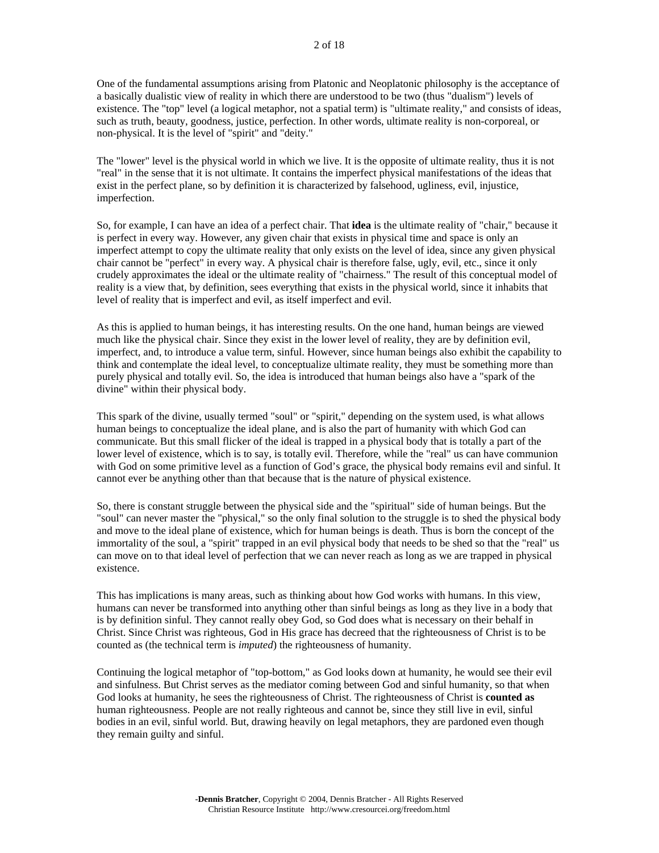One of the fundamental assumptions arising from Platonic and Neoplatonic philosophy is the acceptance of a basically dualistic view of reality in which there are understood to be two (thus "dualism") levels of existence. The "top" level (a logical metaphor, not a spatial term) is "ultimate reality," and consists of ideas, such as truth, beauty, goodness, justice, perfection. In other words, ultimate reality is non-corporeal, or non-physical. It is the level of "spirit" and "deity."

The "lower" level is the physical world in which we live. It is the opposite of ultimate reality, thus it is not "real" in the sense that it is not ultimate. It contains the imperfect physical manifestations of the ideas that exist in the perfect plane, so by definition it is characterized by falsehood, ugliness, evil, injustice, imperfection.

So, for example, I can have an idea of a perfect chair. That **idea** is the ultimate reality of "chair," because it is perfect in every way. However, any given chair that exists in physical time and space is only an imperfect attempt to copy the ultimate reality that only exists on the level of idea, since any given physical chair cannot be "perfect" in every way. A physical chair is therefore false, ugly, evil, etc., since it only crudely approximates the ideal or the ultimate reality of "chairness." The result of this conceptual model of reality is a view that, by definition, sees everything that exists in the physical world, since it inhabits that level of reality that is imperfect and evil, as itself imperfect and evil.

As this is applied to human beings, it has interesting results. On the one hand, human beings are viewed much like the physical chair. Since they exist in the lower level of reality, they are by definition evil, imperfect, and, to introduce a value term, sinful. However, since human beings also exhibit the capability to think and contemplate the ideal level, to conceptualize ultimate reality, they must be something more than purely physical and totally evil. So, the idea is introduced that human beings also have a "spark of the divine" within their physical body.

This spark of the divine, usually termed "soul" or "spirit," depending on the system used, is what allows human beings to conceptualize the ideal plane, and is also the part of humanity with which God can communicate. But this small flicker of the ideal is trapped in a physical body that is totally a part of the lower level of existence, which is to say, is totally evil. Therefore, while the "real" us can have communion with God on some primitive level as a function of God's grace, the physical body remains evil and sinful. It cannot ever be anything other than that because that is the nature of physical existence.

So, there is constant struggle between the physical side and the "spiritual" side of human beings. But the "soul" can never master the "physical," so the only final solution to the struggle is to shed the physical body and move to the ideal plane of existence, which for human beings is death. Thus is born the concept of the immortality of the soul, a "spirit" trapped in an evil physical body that needs to be shed so that the "real" us can move on to that ideal level of perfection that we can never reach as long as we are trapped in physical existence.

This has implications is many areas, such as thinking about how God works with humans. In this view, humans can never be transformed into anything other than sinful beings as long as they live in a body that is by definition sinful. They cannot really obey God, so God does what is necessary on their behalf in Christ. Since Christ was righteous, God in His grace has decreed that the righteousness of Christ is to be counted as (the technical term is *imputed*) the righteousness of humanity.

Continuing the logical metaphor of "top-bottom," as God looks down at humanity, he would see their evil and sinfulness. But Christ serves as the mediator coming between God and sinful humanity, so that when God looks at humanity, he sees the righteousness of Christ. The righteousness of Christ is **counted as** human righteousness. People are not really righteous and cannot be, since they still live in evil, sinful bodies in an evil, sinful world. But, drawing heavily on legal metaphors, they are pardoned even though they remain guilty and sinful.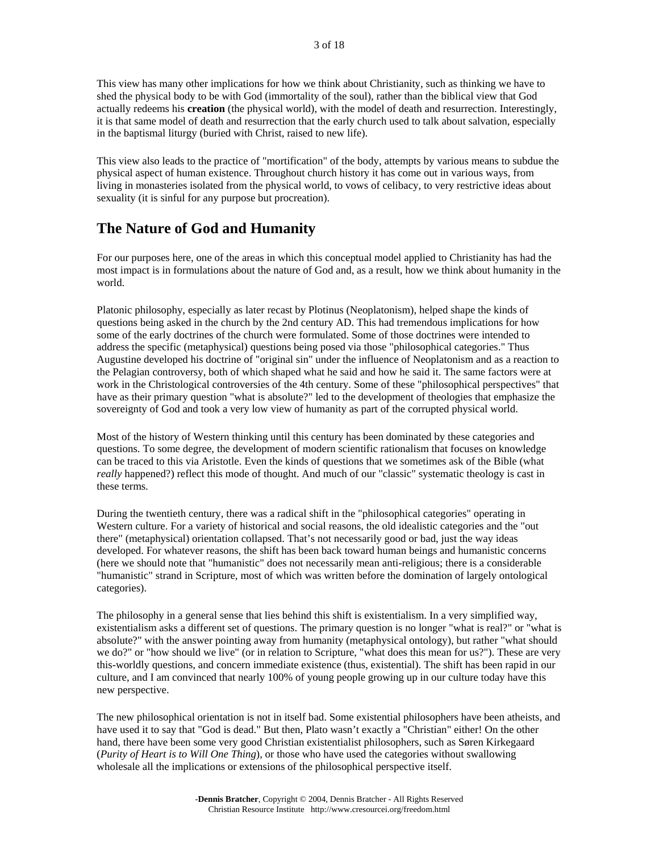This view has many other implications for how we think about Christianity, such as thinking we have to shed the physical body to be with God (immortality of the soul), rather than the biblical view that God actually redeems his **creation** (the physical world), with the model of death and resurrection. Interestingly, it is that same model of death and resurrection that the early church used to talk about salvation, especially in the baptismal liturgy (buried with Christ, raised to new life).

This view also leads to the practice of "mortification" of the body, attempts by various means to subdue the physical aspect of human existence. Throughout church history it has come out in various ways, from living in monasteries isolated from the physical world, to vows of celibacy, to very restrictive ideas about sexuality (it is sinful for any purpose but procreation).

#### **The Nature of God and Humanity**

For our purposes here, one of the areas in which this conceptual model applied to Christianity has had the most impact is in formulations about the nature of God and, as a result, how we think about humanity in the world.

Platonic philosophy, especially as later recast by Plotinus (Neoplatonism), helped shape the kinds of questions being asked in the church by the 2nd century AD. This had tremendous implications for how some of the early doctrines of the church were formulated. Some of those doctrines were intended to address the specific (metaphysical) questions being posed via those "philosophical categories." Thus Augustine developed his doctrine of "original sin" under the influence of Neoplatonism and as a reaction to the Pelagian controversy, both of which shaped what he said and how he said it. The same factors were at work in the Christological controversies of the 4th century. Some of these "philosophical perspectives" that have as their primary question "what is absolute?" led to the development of theologies that emphasize the sovereignty of God and took a very low view of humanity as part of the corrupted physical world.

Most of the history of Western thinking until this century has been dominated by these categories and questions. To some degree, the development of modern scientific rationalism that focuses on knowledge can be traced to this via Aristotle. Even the kinds of questions that we sometimes ask of the Bible (what *really* happened?) reflect this mode of thought. And much of our "classic" systematic theology is cast in these terms.

During the twentieth century, there was a radical shift in the "philosophical categories" operating in Western culture. For a variety of historical and social reasons, the old idealistic categories and the "out there" (metaphysical) orientation collapsed. That's not necessarily good or bad, just the way ideas developed. For whatever reasons, the shift has been back toward human beings and humanistic concerns (here we should note that "humanistic" does not necessarily mean anti-religious; there is a considerable "humanistic" strand in Scripture, most of which was written before the domination of largely ontological categories).

The philosophy in a general sense that lies behind this shift is existentialism. In a very simplified way, existentialism asks a different set of questions. The primary question is no longer "what is real?" or "what is absolute?" with the answer pointing away from humanity (metaphysical ontology), but rather "what should we do?" or "how should we live" (or in relation to Scripture, "what does this mean for us?"). These are very this-worldly questions, and concern immediate existence (thus, existential). The shift has been rapid in our culture, and I am convinced that nearly 100% of young people growing up in our culture today have this new perspective.

The new philosophical orientation is not in itself bad. Some existential philosophers have been atheists, and have used it to say that "God is dead." But then, Plato wasn't exactly a "Christian" either! On the other hand, there have been some very good Christian existentialist philosophers, such as Søren Kirkegaard (*Purity of Heart is to Will One Thing*), or those who have used the categories without swallowing wholesale all the implications or extensions of the philosophical perspective itself.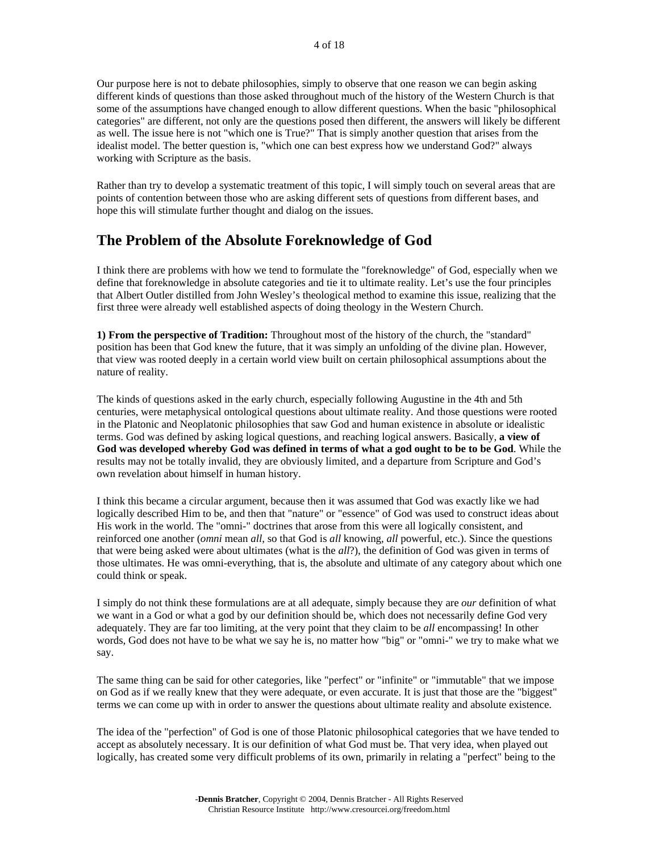Our purpose here is not to debate philosophies, simply to observe that one reason we can begin asking different kinds of questions than those asked throughout much of the history of the Western Church is that some of the assumptions have changed enough to allow different questions. When the basic "philosophical categories" are different, not only are the questions posed then different, the answers will likely be different as well. The issue here is not "which one is True?" That is simply another question that arises from the idealist model. The better question is, "which one can best express how we understand God?" always working with Scripture as the basis.

Rather than try to develop a systematic treatment of this topic, I will simply touch on several areas that are points of contention between those who are asking different sets of questions from different bases, and hope this will stimulate further thought and dialog on the issues.

#### **The Problem of the Absolute Foreknowledge of God**

I think there are problems with how we tend to formulate the "foreknowledge" of God, especially when we define that foreknowledge in absolute categories and tie it to ultimate reality. Let's use the four principles that Albert Outler distilled from John Wesley's theological method to examine this issue, realizing that the first three were already well established aspects of doing theology in the Western Church.

**1) From the perspective of Tradition:** Throughout most of the history of the church, the "standard" position has been that God knew the future, that it was simply an unfolding of the divine plan. However, that view was rooted deeply in a certain world view built on certain philosophical assumptions about the nature of reality.

The kinds of questions asked in the early church, especially following Augustine in the 4th and 5th centuries, were metaphysical ontological questions about ultimate reality. And those questions were rooted in the Platonic and Neoplatonic philosophies that saw God and human existence in absolute or idealistic terms. God was defined by asking logical questions, and reaching logical answers. Basically, **a view of God was developed whereby God was defined in terms of what a god ought to be to be God**. While the results may not be totally invalid, they are obviously limited, and a departure from Scripture and God's own revelation about himself in human history.

I think this became a circular argument, because then it was assumed that God was exactly like we had logically described Him to be, and then that "nature" or "essence" of God was used to construct ideas about His work in the world. The "omni-" doctrines that arose from this were all logically consistent, and reinforced one another (*omni* mean *all*, so that God is *all* knowing, *all* powerful, etc.). Since the questions that were being asked were about ultimates (what is the *all*?), the definition of God was given in terms of those ultimates. He was omni-everything, that is, the absolute and ultimate of any category about which one could think or speak.

I simply do not think these formulations are at all adequate, simply because they are *our* definition of what we want in a God or what a god by our definition should be, which does not necessarily define God very adequately. They are far too limiting, at the very point that they claim to be *all* encompassing! In other words, God does not have to be what we say he is, no matter how "big" or "omni-" we try to make what we say.

The same thing can be said for other categories, like "perfect" or "infinite" or "immutable" that we impose on God as if we really knew that they were adequate, or even accurate. It is just that those are the "biggest" terms we can come up with in order to answer the questions about ultimate reality and absolute existence.

The idea of the "perfection" of God is one of those Platonic philosophical categories that we have tended to accept as absolutely necessary. It is our definition of what God must be. That very idea, when played out logically, has created some very difficult problems of its own, primarily in relating a "perfect" being to the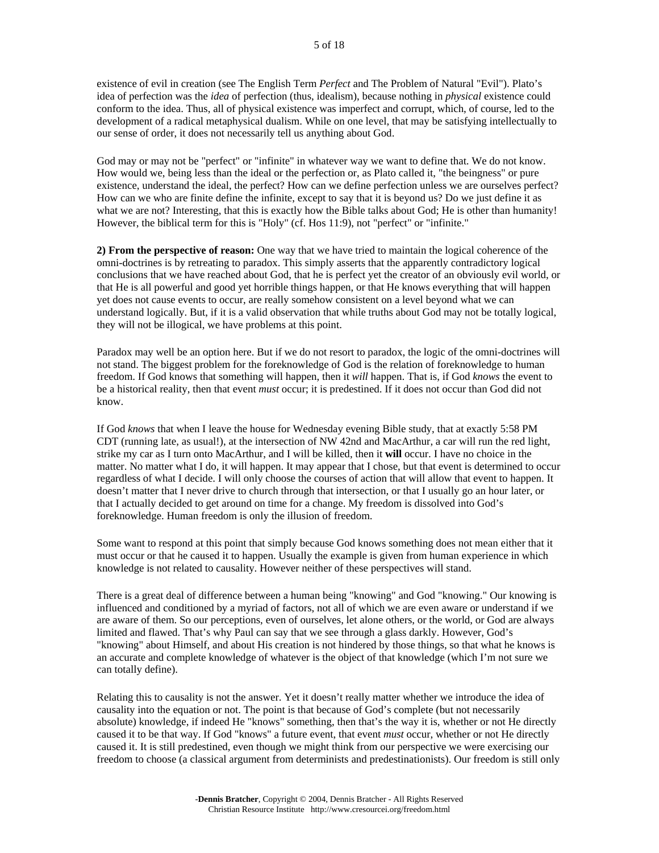existence of evil in creation (see The English Term *Perfect* and The Problem of Natural "Evil"). Plato's idea of perfection was the *idea* of perfection (thus, idealism), because nothing in *physical* existence could conform to the idea. Thus, all of physical existence was imperfect and corrupt, which, of course, led to the development of a radical metaphysical dualism. While on one level, that may be satisfying intellectually to our sense of order, it does not necessarily tell us anything about God.

God may or may not be "perfect" or "infinite" in whatever way we want to define that. We do not know. How would we, being less than the ideal or the perfection or, as Plato called it, "the beingness" or pure existence, understand the ideal, the perfect? How can we define perfection unless we are ourselves perfect? How can we who are finite define the infinite, except to say that it is beyond us? Do we just define it as what we are not? Interesting, that this is exactly how the Bible talks about God; He is other than humanity! However, the biblical term for this is "Holy" (cf. Hos 11:9), not "perfect" or "infinite."

**2) From the perspective of reason:** One way that we have tried to maintain the logical coherence of the omni-doctrines is by retreating to paradox. This simply asserts that the apparently contradictory logical conclusions that we have reached about God, that he is perfect yet the creator of an obviously evil world, or that He is all powerful and good yet horrible things happen, or that He knows everything that will happen yet does not cause events to occur, are really somehow consistent on a level beyond what we can understand logically. But, if it is a valid observation that while truths about God may not be totally logical, they will not be illogical, we have problems at this point.

Paradox may well be an option here. But if we do not resort to paradox, the logic of the omni-doctrines will not stand. The biggest problem for the foreknowledge of God is the relation of foreknowledge to human freedom. If God knows that something will happen, then it *will* happen. That is, if God *knows* the event to be a historical reality, then that event *must* occur; it is predestined. If it does not occur than God did not know.

If God *knows* that when I leave the house for Wednesday evening Bible study, that at exactly 5:58 PM CDT (running late, as usual!), at the intersection of NW 42nd and MacArthur, a car will run the red light, strike my car as I turn onto MacArthur, and I will be killed, then it **will** occur. I have no choice in the matter. No matter what I do, it will happen. It may appear that I chose, but that event is determined to occur regardless of what I decide. I will only choose the courses of action that will allow that event to happen. It doesn't matter that I never drive to church through that intersection, or that I usually go an hour later, or that I actually decided to get around on time for a change. My freedom is dissolved into God's foreknowledge. Human freedom is only the illusion of freedom.

Some want to respond at this point that simply because God knows something does not mean either that it must occur or that he caused it to happen. Usually the example is given from human experience in which knowledge is not related to causality. However neither of these perspectives will stand.

There is a great deal of difference between a human being "knowing" and God "knowing." Our knowing is influenced and conditioned by a myriad of factors, not all of which we are even aware or understand if we are aware of them. So our perceptions, even of ourselves, let alone others, or the world, or God are always limited and flawed. That's why Paul can say that we see through a glass darkly. However, God's "knowing" about Himself, and about His creation is not hindered by those things, so that what he knows is an accurate and complete knowledge of whatever is the object of that knowledge (which I'm not sure we can totally define).

Relating this to causality is not the answer. Yet it doesn't really matter whether we introduce the idea of causality into the equation or not. The point is that because of God's complete (but not necessarily absolute) knowledge, if indeed He "knows" something, then that's the way it is, whether or not He directly caused it to be that way. If God "knows" a future event, that event *must* occur, whether or not He directly caused it. It is still predestined, even though we might think from our perspective we were exercising our freedom to choose (a classical argument from determinists and predestinationists). Our freedom is still only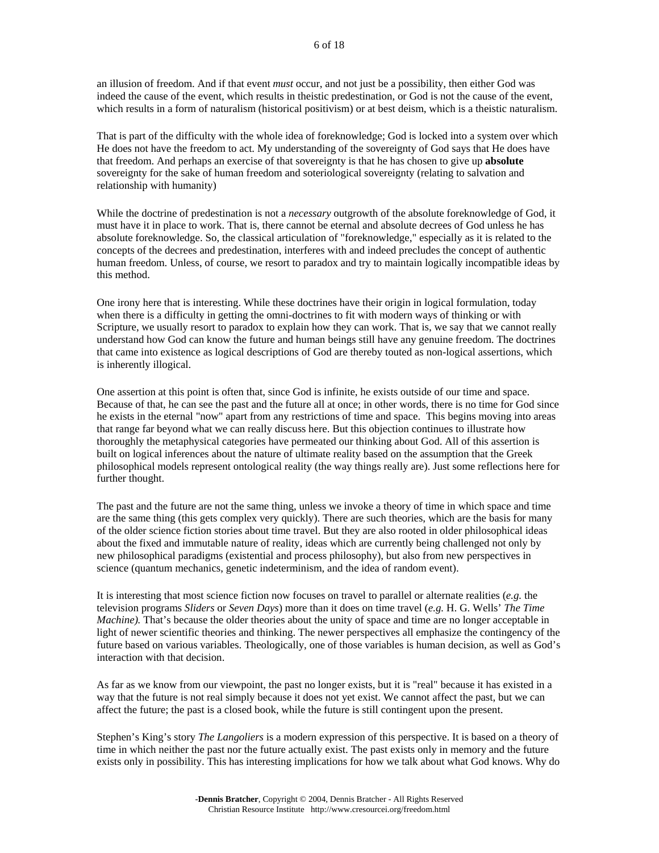an illusion of freedom. And if that event *must* occur, and not just be a possibility, then either God was indeed the cause of the event, which results in theistic predestination, or God is not the cause of the event, which results in a form of naturalism (historical positivism) or at best deism, which is a theistic naturalism.

That is part of the difficulty with the whole idea of foreknowledge; God is locked into a system over which He does not have the freedom to act. My understanding of the sovereignty of God says that He does have that freedom. And perhaps an exercise of that sovereignty is that he has chosen to give up **absolute** sovereignty for the sake of human freedom and soteriological sovereignty (relating to salvation and relationship with humanity)

While the doctrine of predestination is not a *necessary* outgrowth of the absolute foreknowledge of God, it must have it in place to work. That is, there cannot be eternal and absolute decrees of God unless he has absolute foreknowledge. So, the classical articulation of "foreknowledge," especially as it is related to the concepts of the decrees and predestination, interferes with and indeed precludes the concept of authentic human freedom. Unless, of course, we resort to paradox and try to maintain logically incompatible ideas by this method.

One irony here that is interesting. While these doctrines have their origin in logical formulation, today when there is a difficulty in getting the omni-doctrines to fit with modern ways of thinking or with Scripture, we usually resort to paradox to explain how they can work. That is, we say that we cannot really understand how God can know the future and human beings still have any genuine freedom. The doctrines that came into existence as logical descriptions of God are thereby touted as non-logical assertions, which is inherently illogical.

One assertion at this point is often that, since God is infinite, he exists outside of our time and space. Because of that, he can see the past and the future all at once; in other words, there is no time for God since he exists in the eternal "now" apart from any restrictions of time and space. This begins moving into areas that range far beyond what we can really discuss here. But this objection continues to illustrate how thoroughly the metaphysical categories have permeated our thinking about God. All of this assertion is built on logical inferences about the nature of ultimate reality based on the assumption that the Greek philosophical models represent ontological reality (the way things really are). Just some reflections here for further thought.

The past and the future are not the same thing, unless we invoke a theory of time in which space and time are the same thing (this gets complex very quickly). There are such theories, which are the basis for many of the older science fiction stories about time travel. But they are also rooted in older philosophical ideas about the fixed and immutable nature of reality, ideas which are currently being challenged not only by new philosophical paradigms (existential and process philosophy), but also from new perspectives in science (quantum mechanics, genetic indeterminism, and the idea of random event).

It is interesting that most science fiction now focuses on travel to parallel or alternate realities (*e.g.* the television programs *Sliders* or *Seven Days*) more than it does on time travel (*e.g.* H. G. Wells' *The Time Machine).* That's because the older theories about the unity of space and time are no longer acceptable in light of newer scientific theories and thinking. The newer perspectives all emphasize the contingency of the future based on various variables. Theologically, one of those variables is human decision, as well as God's interaction with that decision.

As far as we know from our viewpoint, the past no longer exists, but it is "real" because it has existed in a way that the future is not real simply because it does not yet exist. We cannot affect the past, but we can affect the future; the past is a closed book, while the future is still contingent upon the present.

Stephen's King's story *The Langoliers* is a modern expression of this perspective. It is based on a theory of time in which neither the past nor the future actually exist. The past exists only in memory and the future exists only in possibility. This has interesting implications for how we talk about what God knows. Why do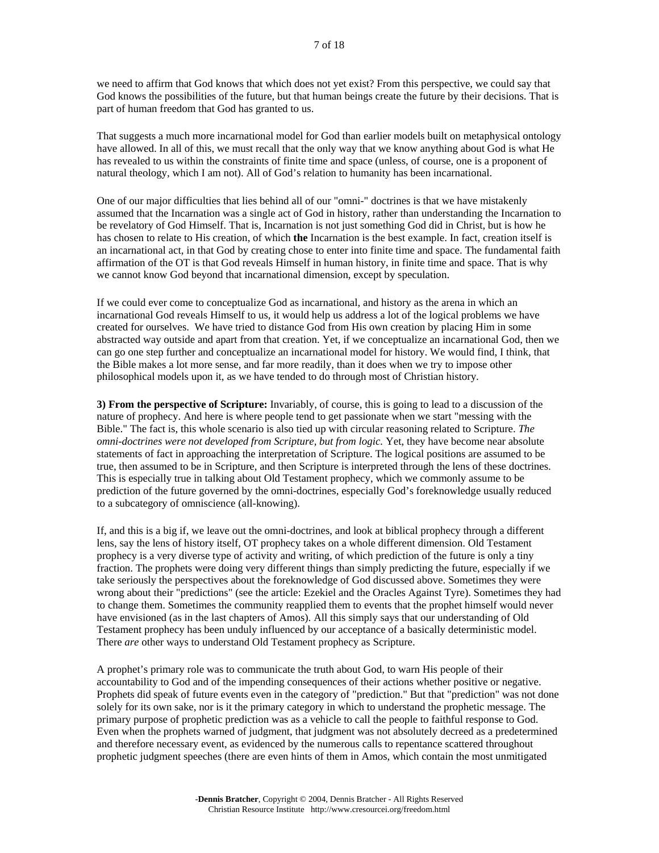we need to affirm that God knows that which does not yet exist? From this perspective, we could say that God knows the possibilities of the future, but that human beings create the future by their decisions. That is part of human freedom that God has granted to us.

That suggests a much more incarnational model for God than earlier models built on metaphysical ontology have allowed. In all of this, we must recall that the only way that we know anything about God is what He has revealed to us within the constraints of finite time and space (unless, of course, one is a proponent of natural theology, which I am not). All of God's relation to humanity has been incarnational.

One of our major difficulties that lies behind all of our "omni-" doctrines is that we have mistakenly assumed that the Incarnation was a single act of God in history, rather than understanding the Incarnation to be revelatory of God Himself. That is, Incarnation is not just something God did in Christ, but is how he has chosen to relate to His creation, of which **the** Incarnation is the best example. In fact, creation itself is an incarnational act, in that God by creating chose to enter into finite time and space. The fundamental faith affirmation of the OT is that God reveals Himself in human history, in finite time and space. That is why we cannot know God beyond that incarnational dimension, except by speculation.

If we could ever come to conceptualize God as incarnational, and history as the arena in which an incarnational God reveals Himself to us, it would help us address a lot of the logical problems we have created for ourselves. We have tried to distance God from His own creation by placing Him in some abstracted way outside and apart from that creation. Yet, if we conceptualize an incarnational God, then we can go one step further and conceptualize an incarnational model for history. We would find, I think, that the Bible makes a lot more sense, and far more readily, than it does when we try to impose other philosophical models upon it, as we have tended to do through most of Christian history.

**3) From the perspective of Scripture:** Invariably, of course, this is going to lead to a discussion of the nature of prophecy. And here is where people tend to get passionate when we start "messing with the Bible." The fact is, this whole scenario is also tied up with circular reasoning related to Scripture. *The omni-doctrines were not developed from Scripture, but from logic.* Yet, they have become near absolute statements of fact in approaching the interpretation of Scripture. The logical positions are assumed to be true, then assumed to be in Scripture, and then Scripture is interpreted through the lens of these doctrines. This is especially true in talking about Old Testament prophecy, which we commonly assume to be prediction of the future governed by the omni-doctrines, especially God's foreknowledge usually reduced to a subcategory of omniscience (all-knowing).

If, and this is a big if, we leave out the omni-doctrines, and look at biblical prophecy through a different lens, say the lens of history itself, OT prophecy takes on a whole different dimension. Old Testament prophecy is a very diverse type of activity and writing, of which prediction of the future is only a tiny fraction. The prophets were doing very different things than simply predicting the future, especially if we take seriously the perspectives about the foreknowledge of God discussed above. Sometimes they were wrong about their "predictions" (see the article: Ezekiel and the Oracles Against Tyre). Sometimes they had to change them. Sometimes the community reapplied them to events that the prophet himself would never have envisioned (as in the last chapters of Amos). All this simply says that our understanding of Old Testament prophecy has been unduly influenced by our acceptance of a basically deterministic model. There *are* other ways to understand Old Testament prophecy as Scripture.

A prophet's primary role was to communicate the truth about God, to warn His people of their accountability to God and of the impending consequences of their actions whether positive or negative. Prophets did speak of future events even in the category of "prediction." But that "prediction" was not done solely for its own sake, nor is it the primary category in which to understand the prophetic message. The primary purpose of prophetic prediction was as a vehicle to call the people to faithful response to God. Even when the prophets warned of judgment, that judgment was not absolutely decreed as a predetermined and therefore necessary event, as evidenced by the numerous calls to repentance scattered throughout prophetic judgment speeches (there are even hints of them in Amos, which contain the most unmitigated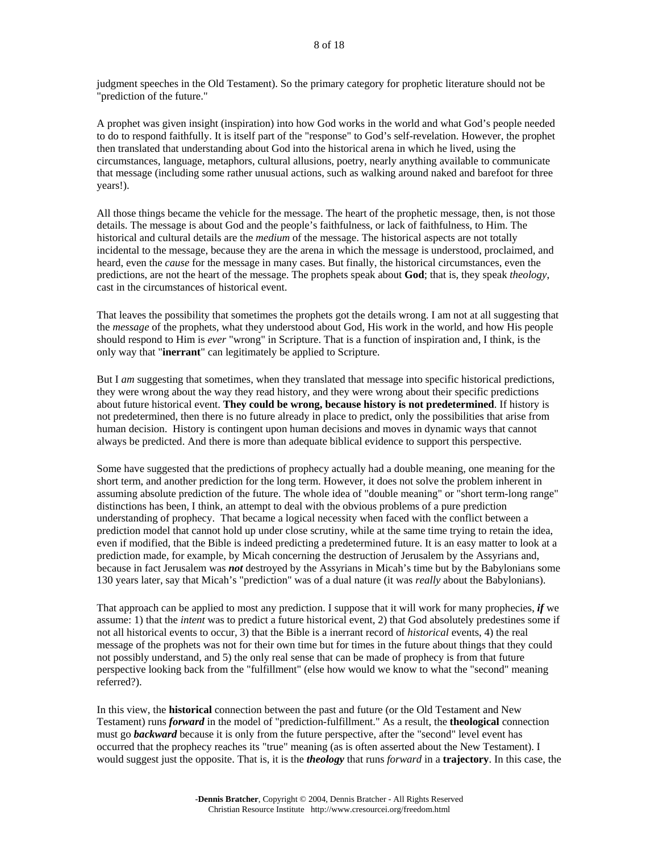judgment speeches in the Old Testament). So the primary category for prophetic literature should not be "prediction of the future."

A prophet was given insight (inspiration) into how God works in the world and what God's people needed to do to respond faithfully. It is itself part of the "response" to God's self-revelation. However, the prophet then translated that understanding about God into the historical arena in which he lived, using the circumstances, language, metaphors, cultural allusions, poetry, nearly anything available to communicate that message (including some rather unusual actions, such as walking around naked and barefoot for three years!).

All those things became the vehicle for the message. The heart of the prophetic message, then, is not those details. The message is about God and the people's faithfulness, or lack of faithfulness, to Him. The historical and cultural details are the *medium* of the message. The historical aspects are not totally incidental to the message, because they are the arena in which the message is understood, proclaimed, and heard, even the *cause* for the message in many cases. But finally, the historical circumstances, even the predictions, are not the heart of the message. The prophets speak about **God**; that is, they speak *theology*, cast in the circumstances of historical event.

That leaves the possibility that sometimes the prophets got the details wrong. I am not at all suggesting that the *message* of the prophets, what they understood about God, His work in the world, and how His people should respond to Him is *ever* "wrong" in Scripture. That is a function of inspiration and, I think, is the only way that "**inerrant**" can legitimately be applied to Scripture.

But I *am* suggesting that sometimes, when they translated that message into specific historical predictions, they were wrong about the way they read history, and they were wrong about their specific predictions about future historical event. **They could be wrong, because history is not predetermined**. If history is not predetermined, then there is no future already in place to predict, only the possibilities that arise from human decision. History is contingent upon human decisions and moves in dynamic ways that cannot always be predicted. And there is more than adequate biblical evidence to support this perspective.

Some have suggested that the predictions of prophecy actually had a double meaning, one meaning for the short term, and another prediction for the long term. However, it does not solve the problem inherent in assuming absolute prediction of the future. The whole idea of "double meaning" or "short term-long range" distinctions has been, I think, an attempt to deal with the obvious problems of a pure prediction understanding of prophecy. That became a logical necessity when faced with the conflict between a prediction model that cannot hold up under close scrutiny, while at the same time trying to retain the idea, even if modified, that the Bible is indeed predicting a predetermined future. It is an easy matter to look at a prediction made, for example, by Micah concerning the destruction of Jerusalem by the Assyrians and, because in fact Jerusalem was *not* destroyed by the Assyrians in Micah's time but by the Babylonians some 130 years later, say that Micah's "prediction" was of a dual nature (it was *really* about the Babylonians).

That approach can be applied to most any prediction. I suppose that it will work for many prophecies, *if* we assume: 1) that the *intent* was to predict a future historical event, 2) that God absolutely predestines some if not all historical events to occur, 3) that the Bible is a inerrant record of *historical* events, 4) the real message of the prophets was not for their own time but for times in the future about things that they could not possibly understand, and 5) the only real sense that can be made of prophecy is from that future perspective looking back from the "fulfillment" (else how would we know to what the "second" meaning referred?).

In this view, the **historical** connection between the past and future (or the Old Testament and New Testament) runs *forward* in the model of "prediction-fulfillment." As a result, the **theological** connection must go *backward* because it is only from the future perspective, after the "second" level event has occurred that the prophecy reaches its "true" meaning (as is often asserted about the New Testament). I would suggest just the opposite. That is, it is the *theology* that runs *forward* in a **trajectory**. In this case, the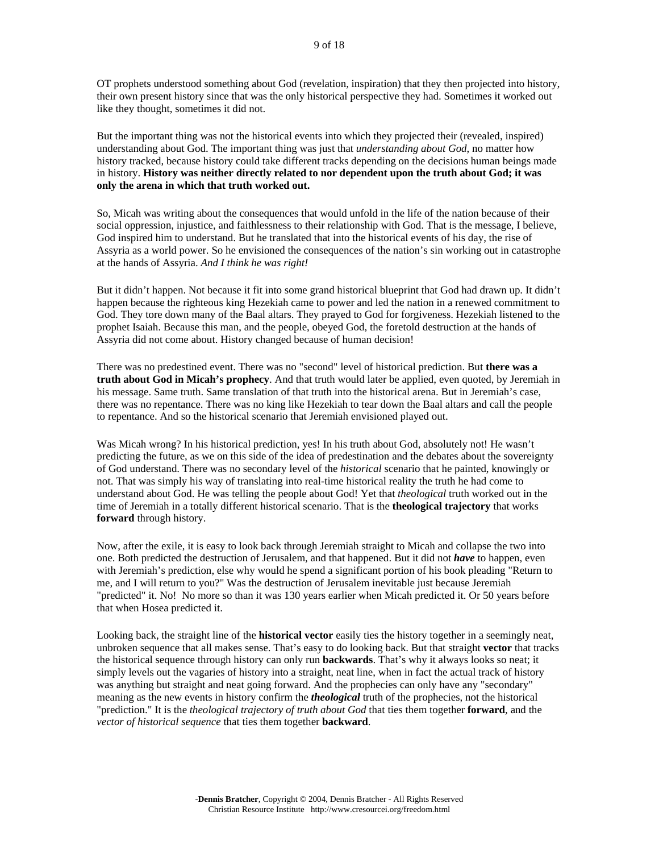OT prophets understood something about God (revelation, inspiration) that they then projected into history, their own present history since that was the only historical perspective they had. Sometimes it worked out like they thought, sometimes it did not.

But the important thing was not the historical events into which they projected their (revealed, inspired) understanding about God. The important thing was just that *understanding about God*, no matter how history tracked, because history could take different tracks depending on the decisions human beings made in history. **History was neither directly related to nor dependent upon the truth about God; it was only the arena in which that truth worked out.**

So, Micah was writing about the consequences that would unfold in the life of the nation because of their social oppression, injustice, and faithlessness to their relationship with God. That is the message, I believe, God inspired him to understand. But he translated that into the historical events of his day, the rise of Assyria as a world power. So he envisioned the consequences of the nation's sin working out in catastrophe at the hands of Assyria. *And I think he was right!*

But it didn't happen. Not because it fit into some grand historical blueprint that God had drawn up. It didn't happen because the righteous king Hezekiah came to power and led the nation in a renewed commitment to God. They tore down many of the Baal altars. They prayed to God for forgiveness. Hezekiah listened to the prophet Isaiah. Because this man, and the people, obeyed God, the foretold destruction at the hands of Assyria did not come about. History changed because of human decision!

There was no predestined event. There was no "second" level of historical prediction. But **there was a truth about God in Micah's prophecy**. And that truth would later be applied, even quoted, by Jeremiah in his message. Same truth. Same translation of that truth into the historical arena. But in Jeremiah's case, there was no repentance. There was no king like Hezekiah to tear down the Baal altars and call the people to repentance. And so the historical scenario that Jeremiah envisioned played out.

Was Micah wrong? In his historical prediction, yes! In his truth about God, absolutely not! He wasn't predicting the future, as we on this side of the idea of predestination and the debates about the sovereignty of God understand. There was no secondary level of the *historical* scenario that he painted, knowingly or not. That was simply his way of translating into real-time historical reality the truth he had come to understand about God. He was telling the people about God! Yet that *theological* truth worked out in the time of Jeremiah in a totally different historical scenario. That is the **theological trajectory** that works **forward** through history.

Now, after the exile, it is easy to look back through Jeremiah straight to Micah and collapse the two into one. Both predicted the destruction of Jerusalem, and that happened. But it did not *have* to happen, even with Jeremiah's prediction, else why would he spend a significant portion of his book pleading "Return to me, and I will return to you?" Was the destruction of Jerusalem inevitable just because Jeremiah "predicted" it. No! No more so than it was 130 years earlier when Micah predicted it. Or 50 years before that when Hosea predicted it.

Looking back, the straight line of the **historical vector** easily ties the history together in a seemingly neat, unbroken sequence that all makes sense. That's easy to do looking back. But that straight **vector** that tracks the historical sequence through history can only run **backwards**. That's why it always looks so neat; it simply levels out the vagaries of history into a straight, neat line, when in fact the actual track of history was anything but straight and neat going forward. And the prophecies can only have any "secondary" meaning as the new events in history confirm the *theological* truth of the prophecies, not the historical "prediction." It is the *theological trajectory of truth about God* that ties them together **forward**, and the *vector of historical sequence* that ties them together **backward**.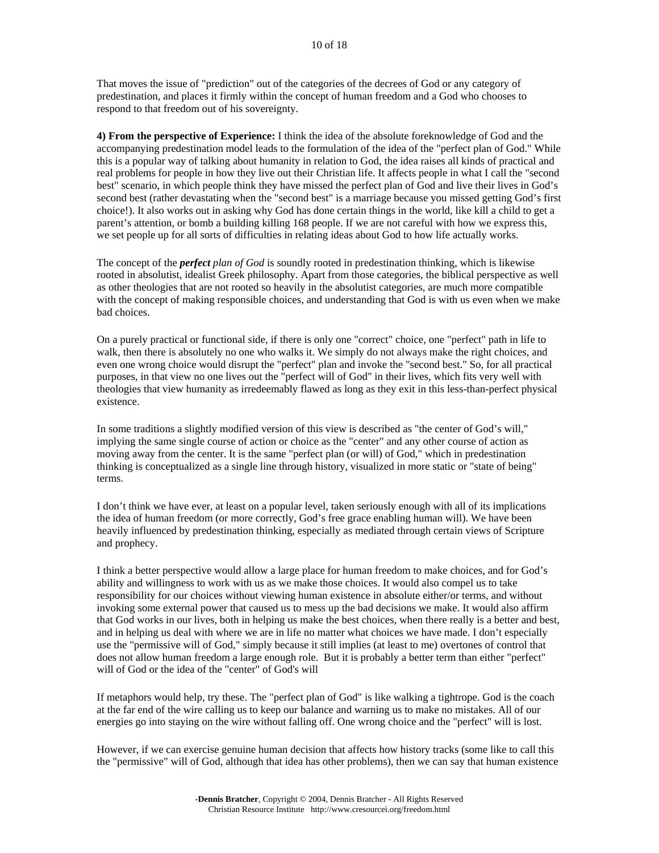That moves the issue of "prediction" out of the categories of the decrees of God or any category of predestination, and places it firmly within the concept of human freedom and a God who chooses to respond to that freedom out of his sovereignty.

**4) From the perspective of Experience:** I think the idea of the absolute foreknowledge of God and the accompanying predestination model leads to the formulation of the idea of the "perfect plan of God." While this is a popular way of talking about humanity in relation to God, the idea raises all kinds of practical and real problems for people in how they live out their Christian life. It affects people in what I call the "second best" scenario, in which people think they have missed the perfect plan of God and live their lives in God's second best (rather devastating when the "second best" is a marriage because you missed getting God's first choice!). It also works out in asking why God has done certain things in the world, like kill a child to get a parent's attention, or bomb a building killing 168 people. If we are not careful with how we express this, we set people up for all sorts of difficulties in relating ideas about God to how life actually works.

The concept of the *perfect plan of God* is soundly rooted in predestination thinking, which is likewise rooted in absolutist, idealist Greek philosophy. Apart from those categories, the biblical perspective as well as other theologies that are not rooted so heavily in the absolutist categories, are much more compatible with the concept of making responsible choices, and understanding that God is with us even when we make bad choices.

On a purely practical or functional side, if there is only one "correct" choice, one "perfect" path in life to walk, then there is absolutely no one who walks it. We simply do not always make the right choices, and even one wrong choice would disrupt the "perfect" plan and invoke the "second best." So, for all practical purposes, in that view no one lives out the "perfect will of God" in their lives, which fits very well with theologies that view humanity as irredeemably flawed as long as they exit in this less-than-perfect physical existence.

In some traditions a slightly modified version of this view is described as "the center of God's will," implying the same single course of action or choice as the "center" and any other course of action as moving away from the center. It is the same "perfect plan (or will) of God," which in predestination thinking is conceptualized as a single line through history, visualized in more static or "state of being" terms.

I don't think we have ever, at least on a popular level, taken seriously enough with all of its implications the idea of human freedom (or more correctly, God's free grace enabling human will). We have been heavily influenced by predestination thinking, especially as mediated through certain views of Scripture and prophecy.

I think a better perspective would allow a large place for human freedom to make choices, and for God's ability and willingness to work with us as we make those choices. It would also compel us to take responsibility for our choices without viewing human existence in absolute either/or terms, and without invoking some external power that caused us to mess up the bad decisions we make. It would also affirm that God works in our lives, both in helping us make the best choices, when there really is a better and best, and in helping us deal with where we are in life no matter what choices we have made. I don't especially use the "permissive will of God," simply because it still implies (at least to me) overtones of control that does not allow human freedom a large enough role. But it is probably a better term than either "perfect" will of God or the idea of the "center" of God's will

If metaphors would help, try these. The "perfect plan of God" is like walking a tightrope. God is the coach at the far end of the wire calling us to keep our balance and warning us to make no mistakes. All of our energies go into staying on the wire without falling off. One wrong choice and the "perfect" will is lost.

However, if we can exercise genuine human decision that affects how history tracks (some like to call this the "permissive" will of God, although that idea has other problems), then we can say that human existence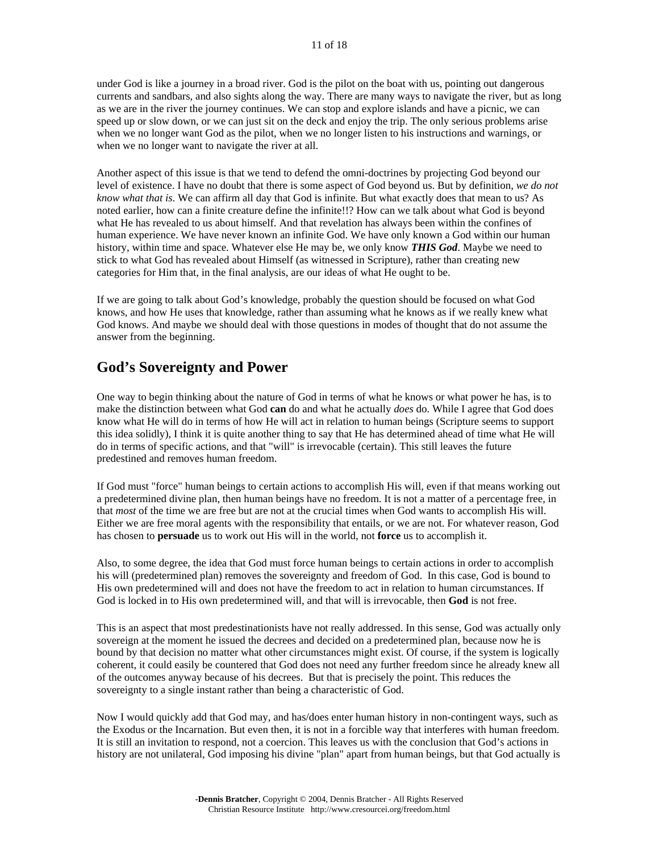under God is like a journey in a broad river. God is the pilot on the boat with us, pointing out dangerous currents and sandbars, and also sights along the way. There are many ways to navigate the river, but as long as we are in the river the journey continues. We can stop and explore islands and have a picnic, we can speed up or slow down, or we can just sit on the deck and enjoy the trip. The only serious problems arise when we no longer want God as the pilot, when we no longer listen to his instructions and warnings, or when we no longer want to navigate the river at all.

Another aspect of this issue is that we tend to defend the omni-doctrines by projecting God beyond our level of existence. I have no doubt that there is some aspect of God beyond us. But by definition, *we do not know what that is*. We can affirm all day that God is infinite. But what exactly does that mean to us? As noted earlier, how can a finite creature define the infinite!!? How can we talk about what God is beyond what He has revealed to us about himself. And that revelation has always been within the confines of human experience. We have never known an infinite God. We have only known a God within our human history, within time and space. Whatever else He may be, we only know *THIS God*. Maybe we need to stick to what God has revealed about Himself (as witnessed in Scripture), rather than creating new categories for Him that, in the final analysis, are our ideas of what He ought to be.

If we are going to talk about God's knowledge, probably the question should be focused on what God knows, and how He uses that knowledge, rather than assuming what he knows as if we really knew what God knows. And maybe we should deal with those questions in modes of thought that do not assume the answer from the beginning.

#### **God's Sovereignty and Power**

One way to begin thinking about the nature of God in terms of what he knows or what power he has, is to make the distinction between what God **can** do and what he actually *does* do. While I agree that God does know what He will do in terms of how He will act in relation to human beings (Scripture seems to support this idea solidly), I think it is quite another thing to say that He has determined ahead of time what He will do in terms of specific actions, and that "will" is irrevocable (certain). This still leaves the future predestined and removes human freedom.

If God must "force" human beings to certain actions to accomplish His will, even if that means working out a predetermined divine plan, then human beings have no freedom. It is not a matter of a percentage free, in that *most* of the time we are free but are not at the crucial times when God wants to accomplish His will. Either we are free moral agents with the responsibility that entails, or we are not. For whatever reason, God has chosen to **persuade** us to work out His will in the world, not **force** us to accomplish it.

Also, to some degree, the idea that God must force human beings to certain actions in order to accomplish his will (predetermined plan) removes the sovereignty and freedom of God. In this case, God is bound to His own predetermined will and does not have the freedom to act in relation to human circumstances. If God is locked in to His own predetermined will, and that will is irrevocable, then **God** is not free.

This is an aspect that most predestinationists have not really addressed. In this sense, God was actually only sovereign at the moment he issued the decrees and decided on a predetermined plan, because now he is bound by that decision no matter what other circumstances might exist. Of course, if the system is logically coherent, it could easily be countered that God does not need any further freedom since he already knew all of the outcomes anyway because of his decrees. But that is precisely the point. This reduces the sovereignty to a single instant rather than being a characteristic of God.

Now I would quickly add that God may, and has/does enter human history in non-contingent ways, such as the Exodus or the Incarnation. But even then, it is not in a forcible way that interferes with human freedom. It is still an invitation to respond, not a coercion. This leaves us with the conclusion that God's actions in history are not unilateral, God imposing his divine "plan" apart from human beings, but that God actually is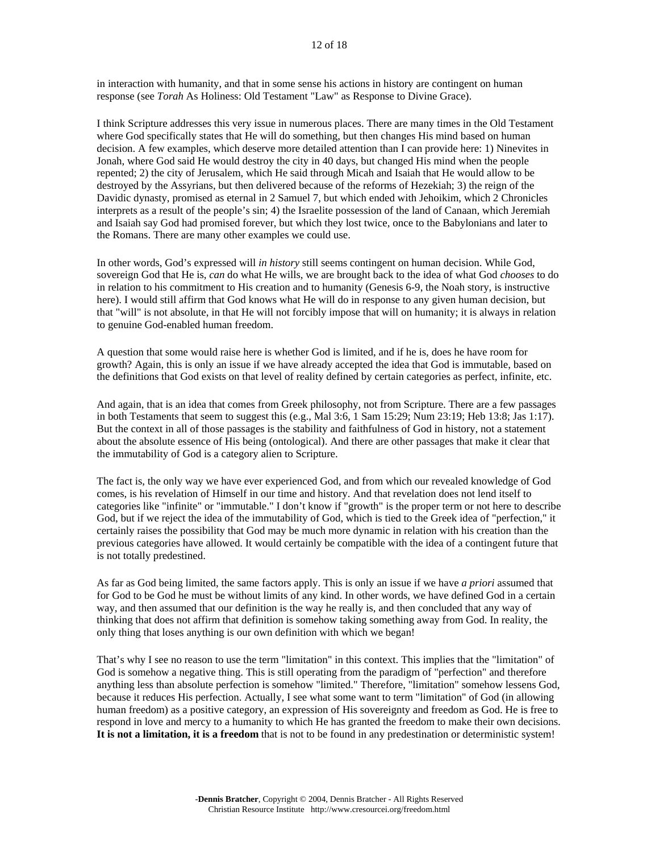in interaction with humanity, and that in some sense his actions in history are contingent on human response (see *Torah* As Holiness: Old Testament "Law" as Response to Divine Grace).

I think Scripture addresses this very issue in numerous places. There are many times in the Old Testament where God specifically states that He will do something, but then changes His mind based on human decision. A few examples, which deserve more detailed attention than I can provide here: 1) Ninevites in Jonah, where God said He would destroy the city in 40 days, but changed His mind when the people repented; 2) the city of Jerusalem, which He said through Micah and Isaiah that He would allow to be destroyed by the Assyrians, but then delivered because of the reforms of Hezekiah; 3) the reign of the Davidic dynasty, promised as eternal in 2 Samuel 7, but which ended with Jehoikim, which 2 Chronicles interprets as a result of the people's sin; 4) the Israelite possession of the land of Canaan, which Jeremiah and Isaiah say God had promised forever, but which they lost twice, once to the Babylonians and later to the Romans. There are many other examples we could use.

In other words, God's expressed will *in history* still seems contingent on human decision. While God, sovereign God that He is, *can* do what He wills, we are brought back to the idea of what God *chooses* to do in relation to his commitment to His creation and to humanity (Genesis 6-9, the Noah story, is instructive here). I would still affirm that God knows what He will do in response to any given human decision, but that "will" is not absolute, in that He will not forcibly impose that will on humanity; it is always in relation to genuine God-enabled human freedom.

A question that some would raise here is whether God is limited, and if he is, does he have room for growth? Again, this is only an issue if we have already accepted the idea that God is immutable, based on the definitions that God exists on that level of reality defined by certain categories as perfect, infinite, etc.

And again, that is an idea that comes from Greek philosophy, not from Scripture. There are a few passages in both Testaments that seem to suggest this (e.g., Mal 3:6, 1 Sam 15:29; Num 23:19; Heb 13:8; Jas 1:17). But the context in all of those passages is the stability and faithfulness of God in history, not a statement about the absolute essence of His being (ontological). And there are other passages that make it clear that the immutability of God is a category alien to Scripture.

The fact is, the only way we have ever experienced God, and from which our revealed knowledge of God comes, is his revelation of Himself in our time and history. And that revelation does not lend itself to categories like "infinite" or "immutable." I don't know if "growth" is the proper term or not here to describe God, but if we reject the idea of the immutability of God, which is tied to the Greek idea of "perfection," it certainly raises the possibility that God may be much more dynamic in relation with his creation than the previous categories have allowed. It would certainly be compatible with the idea of a contingent future that is not totally predestined.

As far as God being limited, the same factors apply. This is only an issue if we have *a priori* assumed that for God to be God he must be without limits of any kind. In other words, we have defined God in a certain way, and then assumed that our definition is the way he really is, and then concluded that any way of thinking that does not affirm that definition is somehow taking something away from God. In reality, the only thing that loses anything is our own definition with which we began!

That's why I see no reason to use the term "limitation" in this context. This implies that the "limitation" of God is somehow a negative thing. This is still operating from the paradigm of "perfection" and therefore anything less than absolute perfection is somehow "limited." Therefore, "limitation" somehow lessens God, because it reduces His perfection. Actually, I see what some want to term "limitation" of God (in allowing human freedom) as a positive category, an expression of His sovereignty and freedom as God. He is free to respond in love and mercy to a humanity to which He has granted the freedom to make their own decisions. **It is not a limitation, it is a freedom** that is not to be found in any predestination or deterministic system!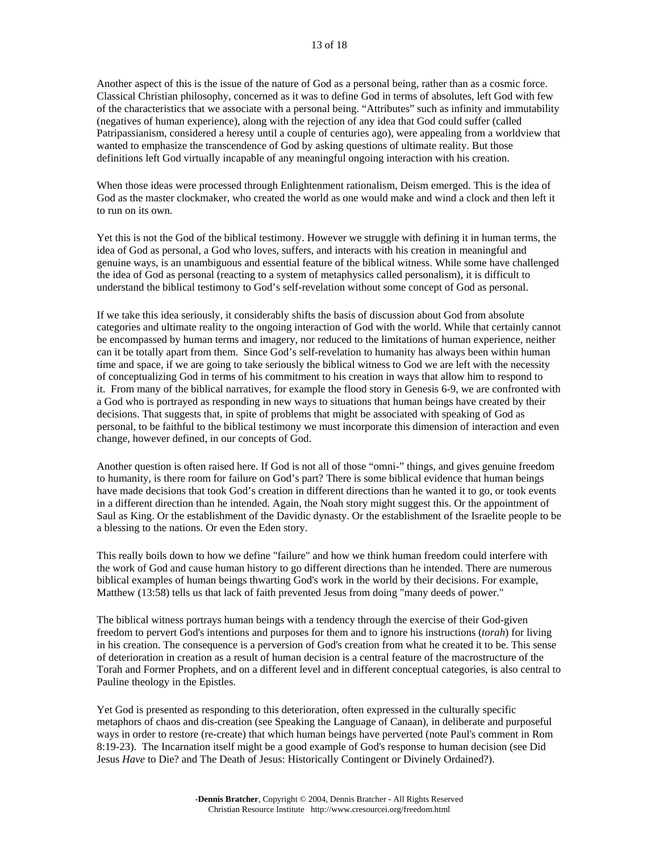Another aspect of this is the issue of the nature of God as a personal being, rather than as a cosmic force. Classical Christian philosophy, concerned as it was to define God in terms of absolutes, left God with few of the characteristics that we associate with a personal being. "Attributes" such as infinity and immutability (negatives of human experience), along with the rejection of any idea that God could suffer (called Patripassianism, considered a heresy until a couple of centuries ago), were appealing from a worldview that wanted to emphasize the transcendence of God by asking questions of ultimate reality. But those definitions left God virtually incapable of any meaningful ongoing interaction with his creation.

When those ideas were processed through Enlightenment rationalism, Deism emerged. This is the idea of God as the master clockmaker, who created the world as one would make and wind a clock and then left it to run on its own.

Yet this is not the God of the biblical testimony. However we struggle with defining it in human terms, the idea of God as personal, a God who loves, suffers, and interacts with his creation in meaningful and genuine ways, is an unambiguous and essential feature of the biblical witness. While some have challenged the idea of God as personal (reacting to a system of metaphysics called personalism), it is difficult to understand the biblical testimony to God's self-revelation without some concept of God as personal.

If we take this idea seriously, it considerably shifts the basis of discussion about God from absolute categories and ultimate reality to the ongoing interaction of God with the world. While that certainly cannot be encompassed by human terms and imagery, nor reduced to the limitations of human experience, neither can it be totally apart from them. Since God's self-revelation to humanity has always been within human time and space, if we are going to take seriously the biblical witness to God we are left with the necessity of conceptualizing God in terms of his commitment to his creation in ways that allow him to respond to it. From many of the biblical narratives, for example the flood story in Genesis 6-9, we are confronted with a God who is portrayed as responding in new ways to situations that human beings have created by their decisions. That suggests that, in spite of problems that might be associated with speaking of God as personal, to be faithful to the biblical testimony we must incorporate this dimension of interaction and even change, however defined, in our concepts of God.

Another question is often raised here. If God is not all of those "omni-" things, and gives genuine freedom to humanity, is there room for failure on God's part? There is some biblical evidence that human beings have made decisions that took God's creation in different directions than he wanted it to go, or took events in a different direction than he intended. Again, the Noah story might suggest this. Or the appointment of Saul as King. Or the establishment of the Davidic dynasty. Or the establishment of the Israelite people to be a blessing to the nations. Or even the Eden story.

This really boils down to how we define "failure" and how we think human freedom could interfere with the work of God and cause human history to go different directions than he intended. There are numerous biblical examples of human beings thwarting God's work in the world by their decisions. For example, Matthew (13:58) tells us that lack of faith prevented Jesus from doing "many deeds of power."

The biblical witness portrays human beings with a tendency through the exercise of their God-given freedom to pervert God's intentions and purposes for them and to ignore his instructions (*torah*) for living in his creation. The consequence is a perversion of God's creation from what he created it to be. This sense of deterioration in creation as a result of human decision is a central feature of the macrostructure of the Torah and Former Prophets, and on a different level and in different conceptual categories, is also central to Pauline theology in the Epistles.

Yet God is presented as responding to this deterioration, often expressed in the culturally specific metaphors of chaos and dis-creation (see Speaking the Language of Canaan), in deliberate and purposeful ways in order to restore (re-create) that which human beings have perverted (note Paul's comment in Rom 8:19-23). The Incarnation itself might be a good example of God's response to human decision (see Did Jesus *Have* to Die? and The Death of Jesus: Historically Contingent or Divinely Ordained?).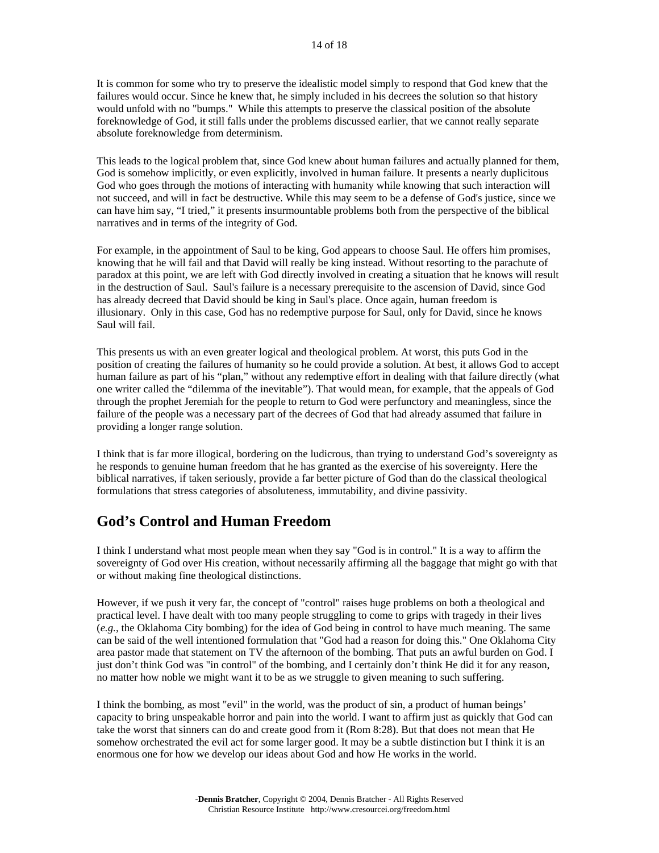It is common for some who try to preserve the idealistic model simply to respond that God knew that the failures would occur. Since he knew that, he simply included in his decrees the solution so that history would unfold with no "bumps." While this attempts to preserve the classical position of the absolute foreknowledge of God, it still falls under the problems discussed earlier, that we cannot really separate absolute foreknowledge from determinism.

This leads to the logical problem that, since God knew about human failures and actually planned for them, God is somehow implicitly, or even explicitly, involved in human failure. It presents a nearly duplicitous God who goes through the motions of interacting with humanity while knowing that such interaction will not succeed, and will in fact be destructive. While this may seem to be a defense of God's justice, since we can have him say, "I tried," it presents insurmountable problems both from the perspective of the biblical narratives and in terms of the integrity of God.

For example, in the appointment of Saul to be king, God appears to choose Saul. He offers him promises, knowing that he will fail and that David will really be king instead. Without resorting to the parachute of paradox at this point, we are left with God directly involved in creating a situation that he knows will result in the destruction of Saul. Saul's failure is a necessary prerequisite to the ascension of David, since God has already decreed that David should be king in Saul's place. Once again, human freedom is illusionary. Only in this case, God has no redemptive purpose for Saul, only for David, since he knows Saul will fail.

This presents us with an even greater logical and theological problem. At worst, this puts God in the position of creating the failures of humanity so he could provide a solution. At best, it allows God to accept human failure as part of his "plan," without any redemptive effort in dealing with that failure directly (what one writer called the "dilemma of the inevitable"). That would mean, for example, that the appeals of God through the prophet Jeremiah for the people to return to God were perfunctory and meaningless, since the failure of the people was a necessary part of the decrees of God that had already assumed that failure in providing a longer range solution.

I think that is far more illogical, bordering on the ludicrous, than trying to understand God's sovereignty as he responds to genuine human freedom that he has granted as the exercise of his sovereignty. Here the biblical narratives, if taken seriously, provide a far better picture of God than do the classical theological formulations that stress categories of absoluteness, immutability, and divine passivity.

### **God's Control and Human Freedom**

I think I understand what most people mean when they say "God is in control." It is a way to affirm the sovereignty of God over His creation, without necessarily affirming all the baggage that might go with that or without making fine theological distinctions.

However, if we push it very far, the concept of "control" raises huge problems on both a theological and practical level. I have dealt with too many people struggling to come to grips with tragedy in their lives (*e.g.*, the Oklahoma City bombing) for the idea of God being in control to have much meaning. The same can be said of the well intentioned formulation that "God had a reason for doing this." One Oklahoma City area pastor made that statement on TV the afternoon of the bombing. That puts an awful burden on God. I just don't think God was "in control" of the bombing, and I certainly don't think He did it for any reason, no matter how noble we might want it to be as we struggle to given meaning to such suffering.

I think the bombing, as most "evil" in the world, was the product of sin, a product of human beings' capacity to bring unspeakable horror and pain into the world. I want to affirm just as quickly that God can take the worst that sinners can do and create good from it (Rom 8:28). But that does not mean that He somehow orchestrated the evil act for some larger good. It may be a subtle distinction but I think it is an enormous one for how we develop our ideas about God and how He works in the world.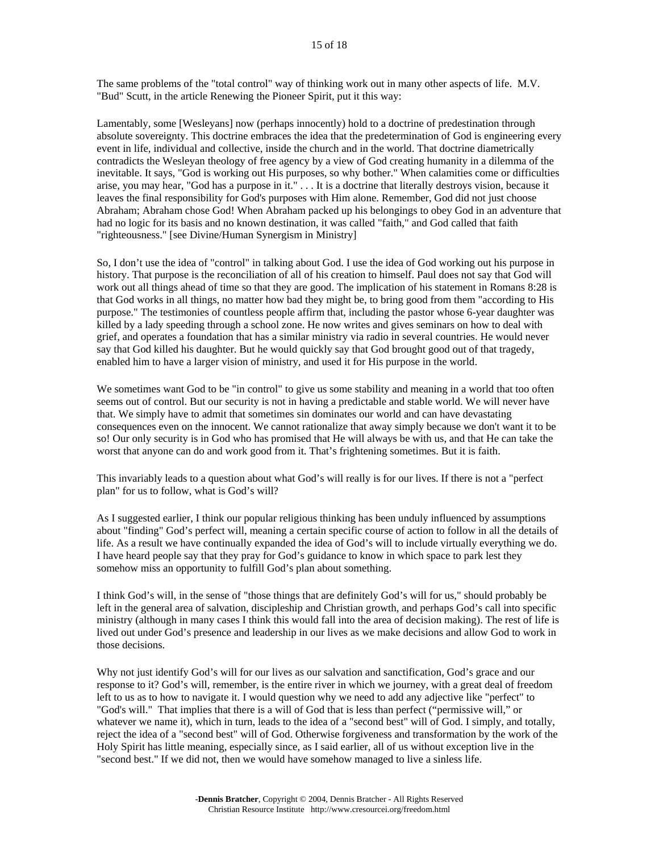The same problems of the "total control" way of thinking work out in many other aspects of life. M.V. "Bud" Scutt, in the article Renewing the Pioneer Spirit, put it this way:

Lamentably, some [Wesleyans] now (perhaps innocently) hold to a doctrine of predestination through absolute sovereignty. This doctrine embraces the idea that the predetermination of God is engineering every event in life, individual and collective, inside the church and in the world. That doctrine diametrically contradicts the Wesleyan theology of free agency by a view of God creating humanity in a dilemma of the inevitable. It says, "God is working out His purposes, so why bother." When calamities come or difficulties arise, you may hear, "God has a purpose in it." . . . It is a doctrine that literally destroys vision, because it leaves the final responsibility for God's purposes with Him alone. Remember, God did not just choose Abraham; Abraham chose God! When Abraham packed up his belongings to obey God in an adventure that had no logic for its basis and no known destination, it was called "faith," and God called that faith "righteousness." [see Divine/Human Synergism in Ministry]

So, I don't use the idea of "control" in talking about God. I use the idea of God working out his purpose in history. That purpose is the reconciliation of all of his creation to himself. Paul does not say that God will work out all things ahead of time so that they are good. The implication of his statement in Romans 8:28 is that God works in all things, no matter how bad they might be, to bring good from them "according to His purpose." The testimonies of countless people affirm that, including the pastor whose 6-year daughter was killed by a lady speeding through a school zone. He now writes and gives seminars on how to deal with grief, and operates a foundation that has a similar ministry via radio in several countries. He would never say that God killed his daughter. But he would quickly say that God brought good out of that tragedy, enabled him to have a larger vision of ministry, and used it for His purpose in the world.

We sometimes want God to be "in control" to give us some stability and meaning in a world that too often seems out of control. But our security is not in having a predictable and stable world. We will never have that. We simply have to admit that sometimes sin dominates our world and can have devastating consequences even on the innocent. We cannot rationalize that away simply because we don't want it to be so! Our only security is in God who has promised that He will always be with us, and that He can take the worst that anyone can do and work good from it. That's frightening sometimes. But it is faith.

This invariably leads to a question about what God's will really is for our lives. If there is not a "perfect plan" for us to follow, what is God's will?

As I suggested earlier, I think our popular religious thinking has been unduly influenced by assumptions about "finding" God's perfect will, meaning a certain specific course of action to follow in all the details of life. As a result we have continually expanded the idea of God's will to include virtually everything we do. I have heard people say that they pray for God's guidance to know in which space to park lest they somehow miss an opportunity to fulfill God's plan about something.

I think God's will, in the sense of "those things that are definitely God's will for us," should probably be left in the general area of salvation, discipleship and Christian growth, and perhaps God's call into specific ministry (although in many cases I think this would fall into the area of decision making). The rest of life is lived out under God's presence and leadership in our lives as we make decisions and allow God to work in those decisions.

Why not just identify God's will for our lives as our salvation and sanctification, God's grace and our response to it? God's will, remember, is the entire river in which we journey, with a great deal of freedom left to us as to how to navigate it. I would question why we need to add any adjective like "perfect" to "God's will." That implies that there is a will of God that is less than perfect ("permissive will," or whatever we name it), which in turn, leads to the idea of a "second best" will of God. I simply, and totally, reject the idea of a "second best" will of God. Otherwise forgiveness and transformation by the work of the Holy Spirit has little meaning, especially since, as I said earlier, all of us without exception live in the "second best." If we did not, then we would have somehow managed to live a sinless life.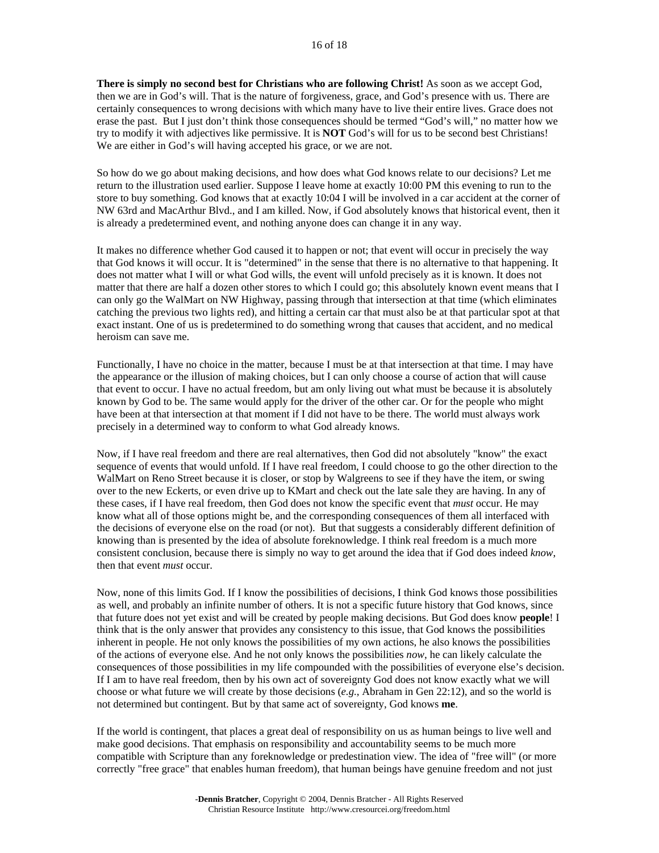**There is simply no second best for Christians who are following Christ!** As soon as we accept God, then we are in God's will. That is the nature of forgiveness, grace, and God's presence with us. There are certainly consequences to wrong decisions with which many have to live their entire lives. Grace does not erase the past. But I just don't think those consequences should be termed "God's will," no matter how we try to modify it with adjectives like permissive. It is **NOT** God's will for us to be second best Christians! We are either in God's will having accepted his grace, or we are not.

So how do we go about making decisions, and how does what God knows relate to our decisions? Let me return to the illustration used earlier. Suppose I leave home at exactly 10:00 PM this evening to run to the store to buy something. God knows that at exactly 10:04 I will be involved in a car accident at the corner of NW 63rd and MacArthur Blvd., and I am killed. Now, if God absolutely knows that historical event, then it is already a predetermined event, and nothing anyone does can change it in any way.

It makes no difference whether God caused it to happen or not; that event will occur in precisely the way that God knows it will occur. It is "determined" in the sense that there is no alternative to that happening. It does not matter what I will or what God wills, the event will unfold precisely as it is known. It does not matter that there are half a dozen other stores to which I could go; this absolutely known event means that I can only go the WalMart on NW Highway, passing through that intersection at that time (which eliminates catching the previous two lights red), and hitting a certain car that must also be at that particular spot at that exact instant. One of us is predetermined to do something wrong that causes that accident, and no medical heroism can save me.

Functionally, I have no choice in the matter, because I must be at that intersection at that time. I may have the appearance or the illusion of making choices, but I can only choose a course of action that will cause that event to occur. I have no actual freedom, but am only living out what must be because it is absolutely known by God to be. The same would apply for the driver of the other car. Or for the people who might have been at that intersection at that moment if I did not have to be there. The world must always work precisely in a determined way to conform to what God already knows.

Now, if I have real freedom and there are real alternatives, then God did not absolutely "know" the exact sequence of events that would unfold. If I have real freedom, I could choose to go the other direction to the WalMart on Reno Street because it is closer, or stop by Walgreens to see if they have the item, or swing over to the new Eckerts, or even drive up to KMart and check out the late sale they are having. In any of these cases, if I have real freedom, then God does not know the specific event that *must* occur. He may know what all of those options might be, and the corresponding consequences of them all interfaced with the decisions of everyone else on the road (or not). But that suggests a considerably different definition of knowing than is presented by the idea of absolute foreknowledge. I think real freedom is a much more consistent conclusion, because there is simply no way to get around the idea that if God does indeed *know*, then that event *must* occur.

Now, none of this limits God. If I know the possibilities of decisions, I think God knows those possibilities as well, and probably an infinite number of others. It is not a specific future history that God knows, since that future does not yet exist and will be created by people making decisions. But God does know **people**! I think that is the only answer that provides any consistency to this issue, that God knows the possibilities inherent in people. He not only knows the possibilities of my own actions, he also knows the possibilities of the actions of everyone else. And he not only knows the possibilities *now*, he can likely calculate the consequences of those possibilities in my life compounded with the possibilities of everyone else's decision. If I am to have real freedom, then by his own act of sovereignty God does not know exactly what we will choose or what future we will create by those decisions (*e.g.*, Abraham in Gen 22:12), and so the world is not determined but contingent. But by that same act of sovereignty, God knows **me**.

If the world is contingent, that places a great deal of responsibility on us as human beings to live well and make good decisions. That emphasis on responsibility and accountability seems to be much more compatible with Scripture than any foreknowledge or predestination view. The idea of "free will" (or more correctly "free grace" that enables human freedom), that human beings have genuine freedom and not just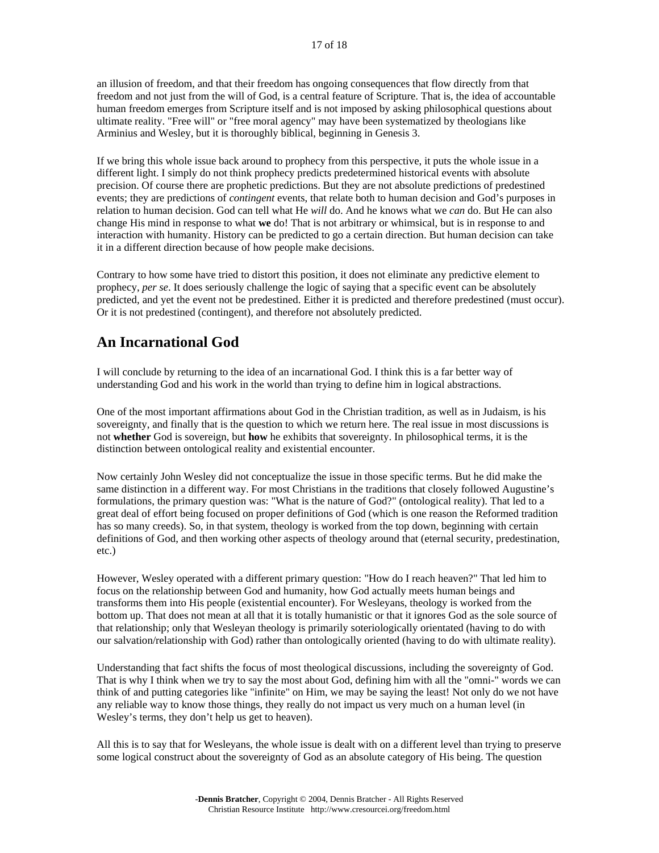an illusion of freedom, and that their freedom has ongoing consequences that flow directly from that freedom and not just from the will of God, is a central feature of Scripture. That is, the idea of accountable human freedom emerges from Scripture itself and is not imposed by asking philosophical questions about ultimate reality. "Free will" or "free moral agency" may have been systematized by theologians like Arminius and Wesley, but it is thoroughly biblical, beginning in Genesis 3.

If we bring this whole issue back around to prophecy from this perspective, it puts the whole issue in a different light. I simply do not think prophecy predicts predetermined historical events with absolute precision. Of course there are prophetic predictions. But they are not absolute predictions of predestined events; they are predictions of *contingent* events, that relate both to human decision and God's purposes in relation to human decision. God can tell what He *will* do. And he knows what we *can* do. But He can also change His mind in response to what **we** do! That is not arbitrary or whimsical, but is in response to and interaction with humanity. History can be predicted to go a certain direction. But human decision can take it in a different direction because of how people make decisions.

Contrary to how some have tried to distort this position, it does not eliminate any predictive element to prophecy, *per se*. It does seriously challenge the logic of saying that a specific event can be absolutely predicted, and yet the event not be predestined. Either it is predicted and therefore predestined (must occur). Or it is not predestined (contingent), and therefore not absolutely predicted.

## **An Incarnational God**

I will conclude by returning to the idea of an incarnational God. I think this is a far better way of understanding God and his work in the world than trying to define him in logical abstractions.

One of the most important affirmations about God in the Christian tradition, as well as in Judaism, is his sovereignty, and finally that is the question to which we return here. The real issue in most discussions is not **whether** God is sovereign, but **how** he exhibits that sovereignty. In philosophical terms, it is the distinction between ontological reality and existential encounter.

Now certainly John Wesley did not conceptualize the issue in those specific terms. But he did make the same distinction in a different way. For most Christians in the traditions that closely followed Augustine's formulations, the primary question was: "What is the nature of God?" (ontological reality). That led to a great deal of effort being focused on proper definitions of God (which is one reason the Reformed tradition has so many creeds). So, in that system, theology is worked from the top down, beginning with certain definitions of God, and then working other aspects of theology around that (eternal security, predestination, etc.)

However, Wesley operated with a different primary question: "How do I reach heaven?" That led him to focus on the relationship between God and humanity, how God actually meets human beings and transforms them into His people (existential encounter). For Wesleyans, theology is worked from the bottom up. That does not mean at all that it is totally humanistic or that it ignores God as the sole source of that relationship; only that Wesleyan theology is primarily soteriologically orientated (having to do with our salvation/relationship with God) rather than ontologically oriented (having to do with ultimate reality).

Understanding that fact shifts the focus of most theological discussions, including the sovereignty of God. That is why I think when we try to say the most about God, defining him with all the "omni-" words we can think of and putting categories like "infinite" on Him, we may be saying the least! Not only do we not have any reliable way to know those things, they really do not impact us very much on a human level (in Wesley's terms, they don't help us get to heaven).

All this is to say that for Wesleyans, the whole issue is dealt with on a different level than trying to preserve some logical construct about the sovereignty of God as an absolute category of His being. The question